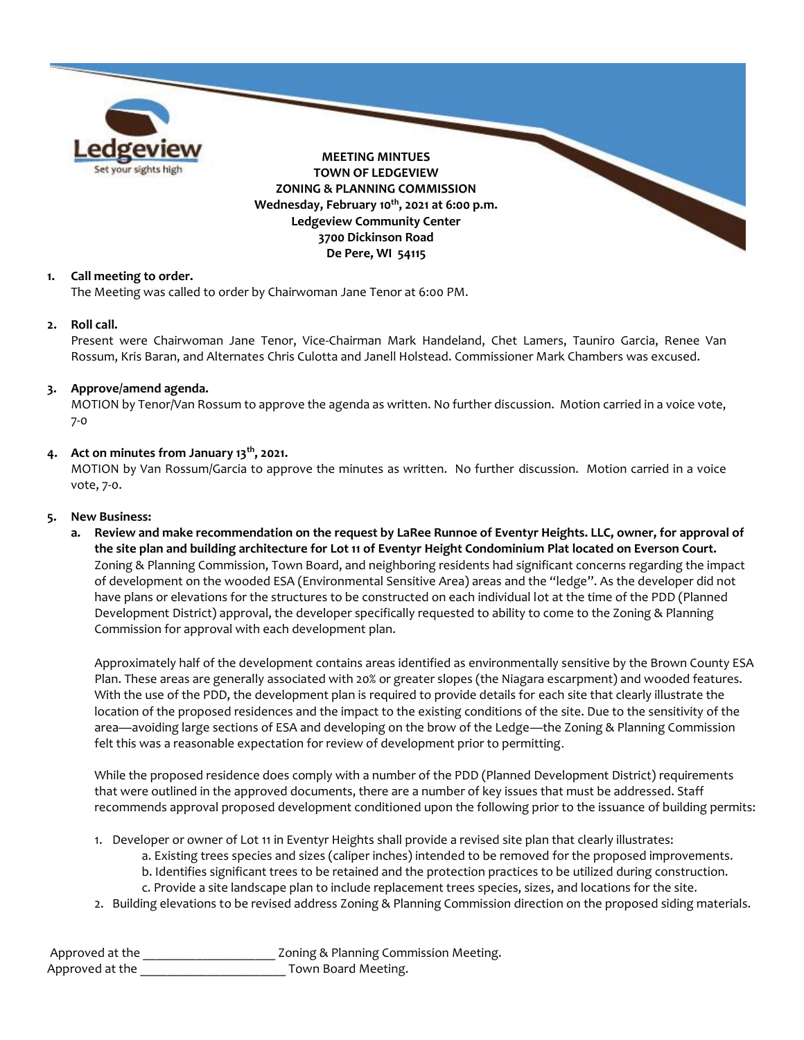

## **1. Call meeting to order.**

The Meeting was called to order by Chairwoman Jane Tenor at 6:00 PM.

### **2. Roll call.**

Present were Chairwoman Jane Tenor, Vice-Chairman Mark Handeland, Chet Lamers, Tauniro Garcia, Renee Van Rossum, Kris Baran, and Alternates Chris Culotta and Janell Holstead. Commissioner Mark Chambers was excused.

### **3. Approve/amend agenda.**

MOTION by Tenor/Van Rossum to approve the agenda as written. No further discussion. Motion carried in a voice vote, 7-0

### **4. Act on minutes from January 13th, 2021.**

MOTION by Van Rossum/Garcia to approve the minutes as written. No further discussion. Motion carried in a voice vote, 7-0.

#### **5. New Business:**

**a. Review and make recommendation on the request by LaRee Runnoe of Eventyr Heights. LLC, owner, for approval of the site plan and building architecture for Lot 11 of Eventyr Height Condominium Plat located on Everson Court.** Zoning & Planning Commission, Town Board, and neighboring residents had significant concerns regarding the impact of development on the wooded ESA (Environmental Sensitive Area) areas and the "ledge". As the developer did not have plans or elevations for the structures to be constructed on each individual lot at the time of the PDD (Planned Development District) approval, the developer specifically requested to ability to come to the Zoning & Planning Commission for approval with each development plan.

Approximately half of the development contains areas identified as environmentally sensitive by the Brown County ESA Plan. These areas are generally associated with 20% or greater slopes (the Niagara escarpment) and wooded features. With the use of the PDD, the development plan is required to provide details for each site that clearly illustrate the location of the proposed residences and the impact to the existing conditions of the site. Due to the sensitivity of the area—avoiding large sections of ESA and developing on the brow of the Ledge—the Zoning & Planning Commission felt this was a reasonable expectation for review of development prior to permitting.

While the proposed residence does comply with a number of the PDD (Planned Development District) requirements that were outlined in the approved documents, there are a number of key issues that must be addressed. Staff recommends approval proposed development conditioned upon the following prior to the issuance of building permits:

- 1. Developer or owner of Lot 11 in Eventyr Heights shall provide a revised site plan that clearly illustrates:
	- a. Existing trees species and sizes (caliper inches) intended to be removed for the proposed improvements.
	- b. Identifies significant trees to be retained and the protection practices to be utilized during construction.
	- c. Provide a site landscape plan to include replacement trees species, sizes, and locations for the site.
- 2. Building elevations to be revised address Zoning & Planning Commission direction on the proposed siding materials.

Approved at the \_\_\_\_\_\_\_\_\_\_\_\_\_\_\_\_\_\_\_\_\_\_\_\_ Zoning & Planning Commission Meeting. Approved at the **August** Town Board Meeting.